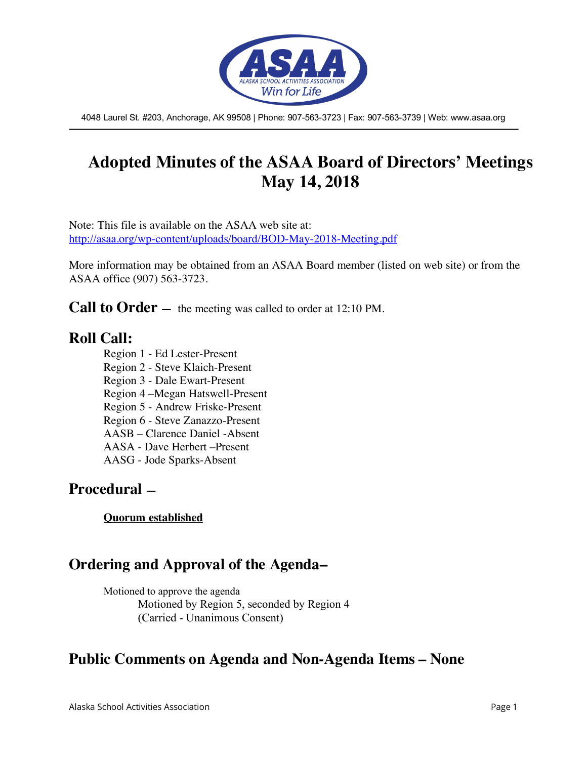

4048 Laurel St. #203, Anchorage, AK 99508 | Phone: 907-563-3723 | Fax: 907-563-3739 | Web: www.asaa.org

# **Adopted Minutes of the ASAA Board of Directors' Meetings May 14, 2018**

Note: This file is available on the ASAA web site at: http://asaa.org/wp-content/uploads/board/BOD-May-2018-Meeting.pdf

More information may be obtained from an ASAA Board member (listed on web site) or from the ASAA office (907) 563-3723.

**Call to Order** — the meeting was called to order at 12:10 PM.

#### **Roll Call:**

Region 1 - Ed Lester-Present Region 2 - Steve Klaich-Present Region 3 - Dale Ewart-Present Region 4 –Megan Hatswell-Present Region 5 - Andrew Friske-Present Region 6 - Steve Zanazzo-Present AASB – Clarence Daniel -Absent AASA - Dave Herbert –Present AASG - Jode Sparks-Absent

#### **Procedural —**

**Quorum established**

# **Ordering and Approval of the Agenda–**

Motioned to approve the agenda Motioned by Region 5, seconded by Region 4 (Carried - Unanimous Consent)

#### **Public Comments on Agenda and Non-Agenda Items – None**

Alaska School Activities Association Page 1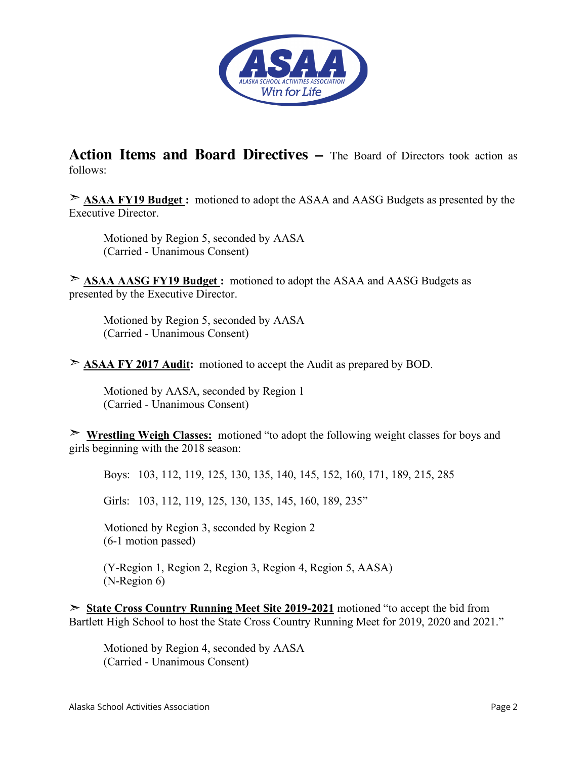

**Action Items and Board Directives –** The Board of Directors took action as follows:

➣ **ASAA FY19 Budget :** motioned to adopt the ASAA and AASG Budgets as presented by the Executive Director.

Motioned by Region 5, seconded by AASA (Carried - Unanimous Consent)

➣ **ASAA AASG FY19 Budget :** motioned to adopt the ASAA and AASG Budgets as presented by the Executive Director.

Motioned by Region 5, seconded by AASA (Carried - Unanimous Consent)

➣ **ASAA FY 2017 Audit:** motioned to accept the Audit as prepared by BOD.

Motioned by AASA, seconded by Region 1 (Carried - Unanimous Consent)

➣ **Wrestling Weigh Classes:** motioned "to adopt the following weight classes for boys and girls beginning with the 2018 season:

Boys: 103, 112, 119, 125, 130, 135, 140, 145, 152, 160, 171, 189, 215, 285

Girls: 103, 112, 119, 125, 130, 135, 145, 160, 189, 235"

Motioned by Region 3, seconded by Region 2 (6-1 motion passed)

(Y-Region 1, Region 2, Region 3, Region 4, Region 5, AASA) (N-Region 6)

➣ **State Cross Country Running Meet Site 2019-2021** motioned "to accept the bid from Bartlett High School to host the State Cross Country Running Meet for 2019, 2020 and 2021."

Motioned by Region 4, seconded by AASA (Carried - Unanimous Consent)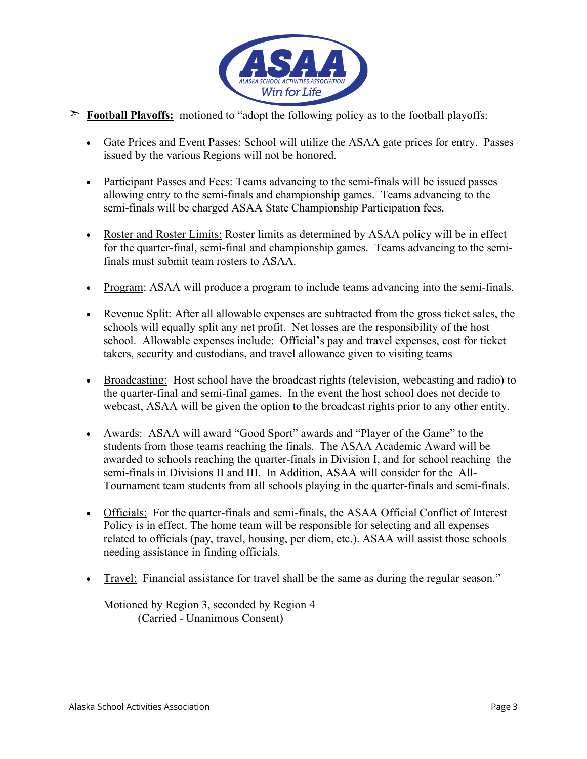

- ➣ **Football Playoffs:** motioned to "adopt the following policy as to the football playoffs:
	- Gate Prices and Event Passes: School will utilize the ASAA gate prices for entry. Passes issued by the various Regions will not be honored.
	- Participant Passes and Fees: Teams advancing to the semi-finals will be issued passes allowing entry to the semi-finals and championship games. Teams advancing to the semi-finals will be charged ASAA State Championship Participation fees.
	- Roster and Roster Limits: Roster limits as determined by ASAA policy will be in effect for the quarter-final, semi-final and championship games. Teams advancing to the semifinals must submit team rosters to ASAA.
	- Program: ASAA will produce a program to include teams advancing into the semi-finals.
	- Revenue Split: After all allowable expenses are subtracted from the gross ticket sales, the schools will equally split any net profit. Net losses are the responsibility of the host school. Allowable expenses include: Official's pay and travel expenses, cost for ticket takers, security and custodians, and travel allowance given to visiting teams
	- Broadcasting: Host school have the broadcast rights (television, webcasting and radio) to the quarter-final and semi-final games. In the event the host school does not decide to webcast, ASAA will be given the option to the broadcast rights prior to any other entity.
	- Awards: ASAA will award "Good Sport" awards and "Player of the Game" to the students from those teams reaching the finals. The ASAA Academic Award will be awarded to schools reaching the quarter-finals in Division I, and for school reaching the semi-finals in Divisions II and III. In Addition, ASAA will consider for the All-Tournament team students from all schools playing in the quarter-finals and semi-finals.
	- Officials: For the quarter-finals and semi-finals, the ASAA Official Conflict of Interest Policy is in effect. The home team will be responsible for selecting and all expenses related to officials (pay, travel, housing, per diem, etc.). ASAA will assist those schools needing assistance in finding officials.
	- Travel: Financial assistance for travel shall be the same as during the regular season."

Motioned by Region 3, seconded by Region 4 (Carried - Unanimous Consent)